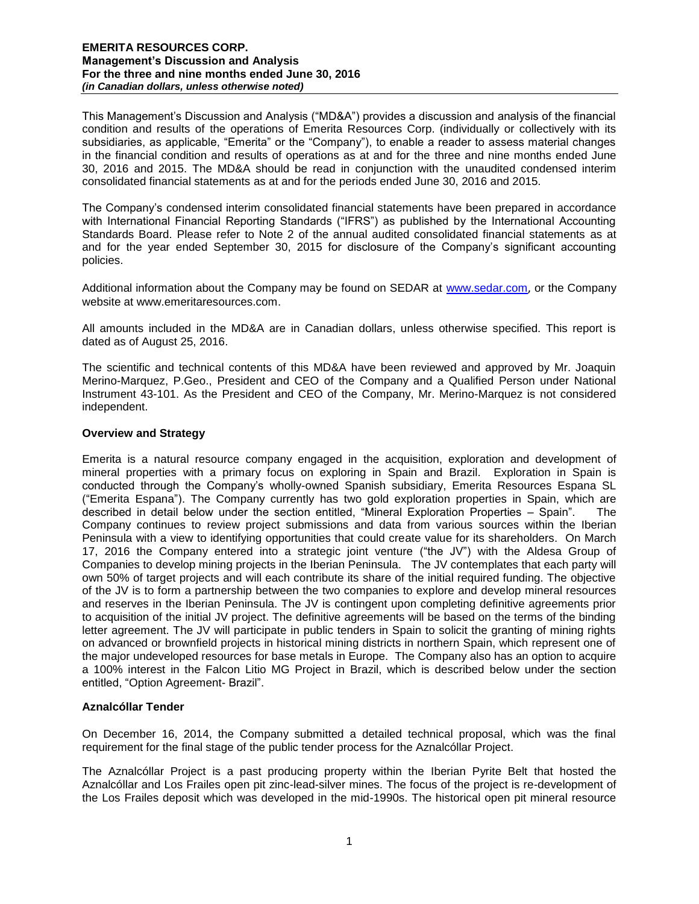This Management's Discussion and Analysis ("MD&A") provides a discussion and analysis of the financial condition and results of the operations of Emerita Resources Corp. (individually or collectively with its subsidiaries, as applicable, "Emerita" or the "Company"), to enable a reader to assess material changes in the financial condition and results of operations as at and for the three and nine months ended June 30, 2016 and 2015. The MD&A should be read in conjunction with the unaudited condensed interim consolidated financial statements as at and for the periods ended June 30, 2016 and 2015.

The Company's condensed interim consolidated financial statements have been prepared in accordance with International Financial Reporting Standards ("IFRS") as published by the International Accounting Standards Board. Please refer to Note 2 of the annual audited consolidated financial statements as at and for the year ended September 30, 2015 for disclosure of the Company's significant accounting policies.

Additional information about the Company may be found on SEDAR at [www.sedar.com](http://www.sedar.com/), or the Company website at www.emeritaresources.com.

All amounts included in the MD&A are in Canadian dollars, unless otherwise specified. This report is dated as of August 25, 2016.

The scientific and technical contents of this MD&A have been reviewed and approved by Mr. Joaquin Merino-Marquez, P.Geo., President and CEO of the Company and a Qualified Person under National Instrument 43-101. As the President and CEO of the Company, Mr. Merino-Marquez is not considered independent.

## **Overview and Strategy**

Emerita is a natural resource company engaged in the acquisition, exploration and development of mineral properties with a primary focus on exploring in Spain and Brazil. Exploration in Spain is conducted through the Company's wholly-owned Spanish subsidiary, Emerita Resources Espana SL ("Emerita Espana"). The Company currently has two gold exploration properties in Spain, which are described in detail below under the section entitled, "Mineral Exploration Properties – Spain". The Company continues to review project submissions and data from various sources within the Iberian Peninsula with a view to identifying opportunities that could create value for its shareholders. On March 17, 2016 the Company entered into a strategic joint venture ("the JV") with the Aldesa Group of Companies to develop mining projects in the Iberian Peninsula. The JV contemplates that each party will own 50% of target projects and will each contribute its share of the initial required funding. The objective of the JV is to form a partnership between the two companies to explore and develop mineral resources and reserves in the Iberian Peninsula. The JV is contingent upon completing definitive agreements prior to acquisition of the initial JV project. The definitive agreements will be based on the terms of the binding letter agreement. The JV will participate in public tenders in Spain to solicit the granting of mining rights on advanced or brownfield projects in historical mining districts in northern Spain, which represent one of the major undeveloped resources for base metals in Europe. The Company also has an option to acquire a 100% interest in the Falcon Litio MG Project in Brazil, which is described below under the section entitled, "Option Agreement- Brazil".

#### **Aznalcóllar Tender**

On December 16, 2014, the Company submitted a detailed technical proposal, which was the final requirement for the final stage of the public tender process for the Aznalcóllar Project.

The Aznalcóllar Project is a past producing property within the Iberian Pyrite Belt that hosted the Aznalcóllar and Los Frailes open pit zinc-lead-silver mines. The focus of the project is re-development of the Los Frailes deposit which was developed in the mid-1990s. The historical open pit mineral resource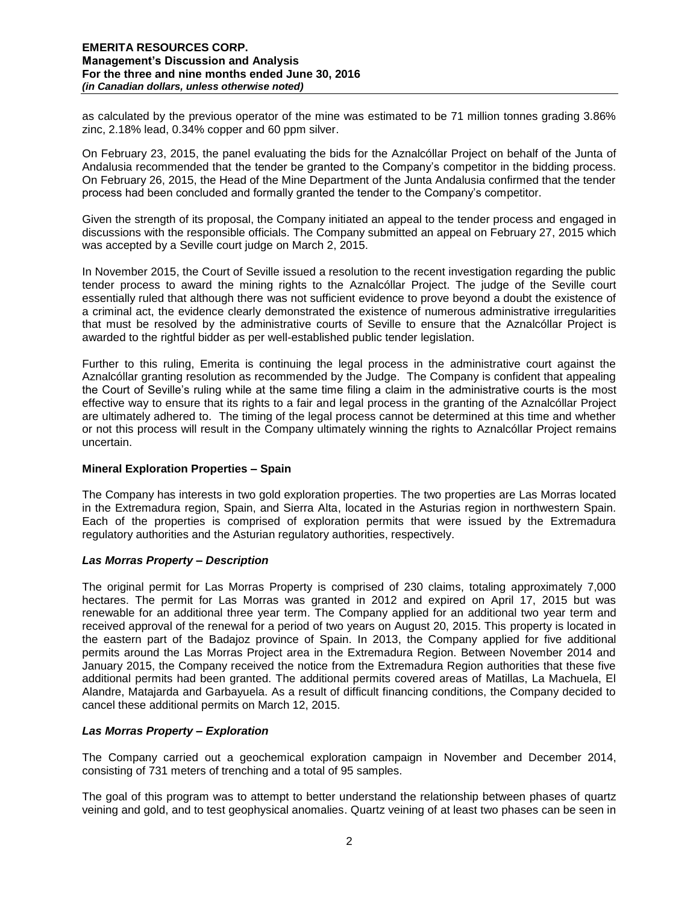as calculated by the previous operator of the mine was estimated to be 71 million tonnes grading 3.86% zinc, 2.18% lead, 0.34% copper and 60 ppm silver.

On February 23, 2015, the panel evaluating the bids for the Aznalcóllar Project on behalf of the Junta of Andalusia recommended that the tender be granted to the Company's competitor in the bidding process. On February 26, 2015, the Head of the Mine Department of the Junta Andalusia confirmed that the tender process had been concluded and formally granted the tender to the Company's competitor.

Given the strength of its proposal, the Company initiated an appeal to the tender process and engaged in discussions with the responsible officials. The Company submitted an appeal on February 27, 2015 which was accepted by a Seville court judge on March 2, 2015.

In November 2015, the Court of Seville issued a resolution to the recent investigation regarding the public tender process to award the mining rights to the Aznalcóllar Project. The judge of the Seville court essentially ruled that although there was not sufficient evidence to prove beyond a doubt the existence of a criminal act, the evidence clearly demonstrated the existence of numerous administrative irregularities that must be resolved by the administrative courts of Seville to ensure that the Aznalcóllar Project is awarded to the rightful bidder as per well-established public tender legislation.

Further to this ruling, Emerita is continuing the legal process in the administrative court against the Aznalcóllar granting resolution as recommended by the Judge. The Company is confident that appealing the Court of Seville's ruling while at the same time filing a claim in the administrative courts is the most effective way to ensure that its rights to a fair and legal process in the granting of the Aznalcóllar Project are ultimately adhered to. The timing of the legal process cannot be determined at this time and whether or not this process will result in the Company ultimately winning the rights to Aznalcóllar Project remains uncertain.

## **Mineral Exploration Properties – Spain**

The Company has interests in two gold exploration properties. The two properties are Las Morras located in the Extremadura region, Spain, and Sierra Alta, located in the Asturias region in northwestern Spain. Each of the properties is comprised of exploration permits that were issued by the Extremadura regulatory authorities and the Asturian regulatory authorities, respectively.

## *Las Morras Property – Description*

The original permit for Las Morras Property is comprised of 230 claims, totaling approximately 7,000 hectares. The permit for Las Morras was granted in 2012 and expired on April 17, 2015 but was renewable for an additional three year term. The Company applied for an additional two year term and received approval of the renewal for a period of two years on August 20, 2015. This property is located in the eastern part of the Badajoz province of Spain. In 2013, the Company applied for five additional permits around the Las Morras Project area in the Extremadura Region. Between November 2014 and January 2015, the Company received the notice from the Extremadura Region authorities that these five additional permits had been granted. The additional permits covered areas of Matillas, La Machuela, El Alandre, Matajarda and Garbayuela. As a result of difficult financing conditions, the Company decided to cancel these additional permits on March 12, 2015.

## *Las Morras Property – Exploration*

The Company carried out a geochemical exploration campaign in November and December 2014, consisting of 731 meters of trenching and a total of 95 samples.

The goal of this program was to attempt to better understand the relationship between phases of quartz veining and gold, and to test geophysical anomalies. Quartz veining of at least two phases can be seen in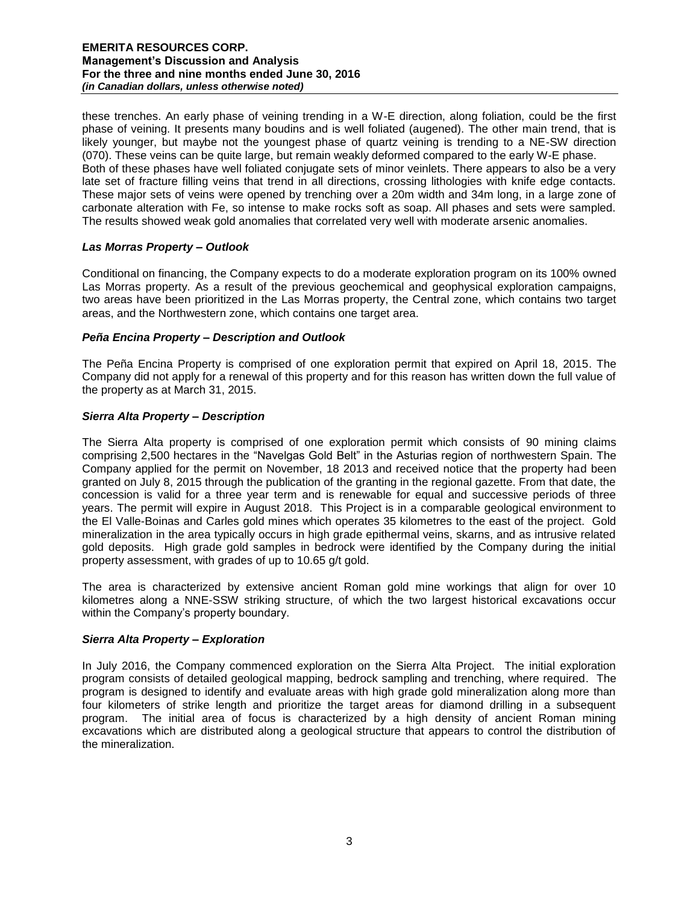these trenches. An early phase of veining trending in a W-E direction, along foliation, could be the first phase of veining. It presents many boudins and is well foliated (augened). The other main trend, that is likely younger, but maybe not the youngest phase of quartz veining is trending to a NE-SW direction (070). These veins can be quite large, but remain weakly deformed compared to the early W-E phase. Both of these phases have well foliated conjugate sets of minor veinlets. There appears to also be a very late set of fracture filling veins that trend in all directions, crossing lithologies with knife edge contacts. These major sets of veins were opened by trenching over a 20m width and 34m long, in a large zone of carbonate alteration with Fe, so intense to make rocks soft as soap. All phases and sets were sampled. The results showed weak gold anomalies that correlated very well with moderate arsenic anomalies.

# *Las Morras Property – Outlook*

Conditional on financing, the Company expects to do a moderate exploration program on its 100% owned Las Morras property. As a result of the previous geochemical and geophysical exploration campaigns, two areas have been prioritized in the Las Morras property, the Central zone, which contains two target areas, and the Northwestern zone, which contains one target area.

## *Peña Encina Property – Description and Outlook*

The Peña Encina Property is comprised of one exploration permit that expired on April 18, 2015. The Company did not apply for a renewal of this property and for this reason has written down the full value of the property as at March 31, 2015.

# *Sierra Alta Property – Description*

The Sierra Alta property is comprised of one exploration permit which consists of 90 mining claims comprising 2,500 hectares in the "Navelgas Gold Belt" in the Asturias region of northwestern Spain. The Company applied for the permit on November, 18 2013 and received notice that the property had been granted on July 8, 2015 through the publication of the granting in the regional gazette. From that date, the concession is valid for a three year term and is renewable for equal and successive periods of three years. The permit will expire in August 2018. This Project is in a comparable geological environment to the El Valle-Boinas and Carles gold mines which operates 35 kilometres to the east of the project. Gold mineralization in the area typically occurs in high grade epithermal veins, skarns, and as intrusive related gold deposits. High grade gold samples in bedrock were identified by the Company during the initial property assessment, with grades of up to 10.65 g/t gold.

The area is characterized by extensive ancient Roman gold mine workings that align for over 10 kilometres along a NNE-SSW striking structure, of which the two largest historical excavations occur within the Company's property boundary.

## *Sierra Alta Property – Exploration*

In July 2016, the Company commenced exploration on the Sierra Alta Project. The initial exploration program consists of detailed geological mapping, bedrock sampling and trenching, where required. The program is designed to identify and evaluate areas with high grade gold mineralization along more than four kilometers of strike length and prioritize the target areas for diamond drilling in a subsequent program. The initial area of focus is characterized by a high density of ancient Roman mining excavations which are distributed along a geological structure that appears to control the distribution of the mineralization.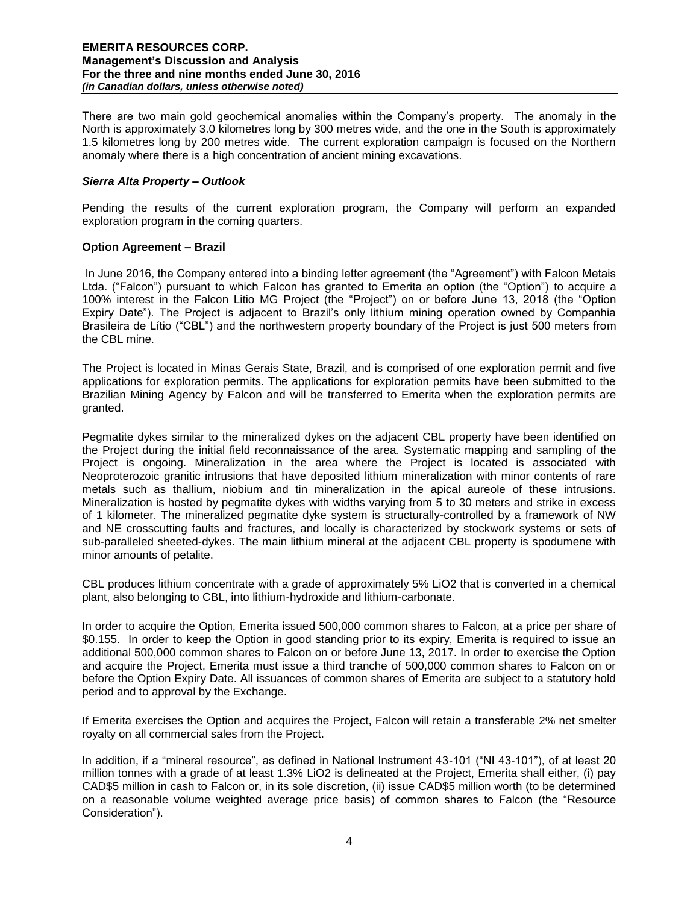There are two main gold geochemical anomalies within the Company's property. The anomaly in the North is approximately 3.0 kilometres long by 300 metres wide, and the one in the South is approximately 1.5 kilometres long by 200 metres wide. The current exploration campaign is focused on the Northern anomaly where there is a high concentration of ancient mining excavations.

# *Sierra Alta Property – Outlook*

Pending the results of the current exploration program, the Company will perform an expanded exploration program in the coming quarters.

## **Option Agreement – Brazil**

In June 2016, the Company entered into a binding letter agreement (the "Agreement") with Falcon Metais Ltda. ("Falcon") pursuant to which Falcon has granted to Emerita an option (the "Option") to acquire a 100% interest in the Falcon Litio MG Project (the "Project") on or before June 13, 2018 (the "Option Expiry Date"). The Project is adjacent to Brazil's only lithium mining operation owned by Companhia Brasileira de Lítio ("CBL") and the northwestern property boundary of the Project is just 500 meters from the CBL mine.

The Project is located in Minas Gerais State, Brazil, and is comprised of one exploration permit and five applications for exploration permits. The applications for exploration permits have been submitted to the Brazilian Mining Agency by Falcon and will be transferred to Emerita when the exploration permits are granted.

Pegmatite dykes similar to the mineralized dykes on the adjacent CBL property have been identified on the Project during the initial field reconnaissance of the area. Systematic mapping and sampling of the Project is ongoing. Mineralization in the area where the Project is located is associated with Neoproterozoic granitic intrusions that have deposited lithium mineralization with minor contents of rare metals such as thallium, niobium and tin mineralization in the apical aureole of these intrusions. Mineralization is hosted by pegmatite dykes with widths varying from 5 to 30 meters and strike in excess of 1 kilometer. The mineralized pegmatite dyke system is structurally-controlled by a framework of NW and NE crosscutting faults and fractures, and locally is characterized by stockwork systems or sets of sub-paralleled sheeted-dykes. The main lithium mineral at the adjacent CBL property is spodumene with minor amounts of petalite.

CBL produces lithium concentrate with a grade of approximately 5% LiO2 that is converted in a chemical plant, also belonging to CBL, into lithium-hydroxide and lithium-carbonate.

In order to acquire the Option, Emerita issued 500,000 common shares to Falcon, at a price per share of \$0.155. In order to keep the Option in good standing prior to its expiry, Emerita is required to issue an additional 500,000 common shares to Falcon on or before June 13, 2017. In order to exercise the Option and acquire the Project, Emerita must issue a third tranche of 500,000 common shares to Falcon on or before the Option Expiry Date. All issuances of common shares of Emerita are subject to a statutory hold period and to approval by the Exchange.

If Emerita exercises the Option and acquires the Project, Falcon will retain a transferable 2% net smelter royalty on all commercial sales from the Project.

In addition, if a "mineral resource", as defined in National Instrument 43-101 ("NI 43-101"), of at least 20 million tonnes with a grade of at least 1.3% LiO2 is delineated at the Project, Emerita shall either, (i) pay CAD\$5 million in cash to Falcon or, in its sole discretion, (ii) issue CAD\$5 million worth (to be determined on a reasonable volume weighted average price basis) of common shares to Falcon (the "Resource Consideration").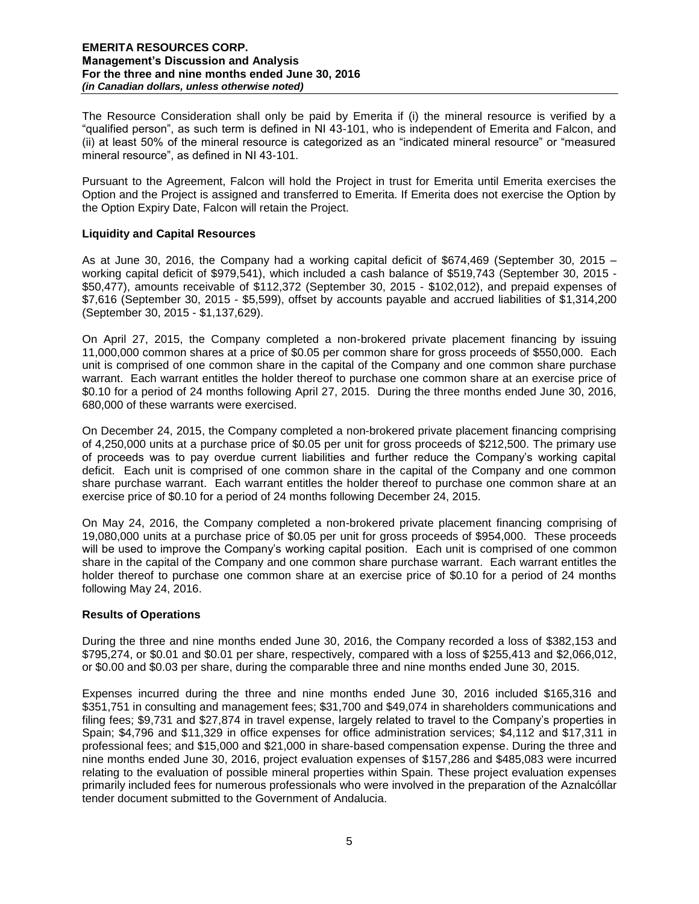The Resource Consideration shall only be paid by Emerita if (i) the mineral resource is verified by a "qualified person", as such term is defined in NI 43-101, who is independent of Emerita and Falcon, and (ii) at least 50% of the mineral resource is categorized as an "indicated mineral resource" or "measured mineral resource", as defined in NI 43-101.

Pursuant to the Agreement, Falcon will hold the Project in trust for Emerita until Emerita exercises the Option and the Project is assigned and transferred to Emerita. If Emerita does not exercise the Option by the Option Expiry Date, Falcon will retain the Project.

## **Liquidity and Capital Resources**

As at June 30, 2016, the Company had a working capital deficit of \$674,469 (September 30, 2015 – working capital deficit of \$979,541), which included a cash balance of \$519,743 (September 30, 2015 - \$50,477), amounts receivable of \$112,372 (September 30, 2015 - \$102,012), and prepaid expenses of \$7,616 (September 30, 2015 - \$5,599), offset by accounts payable and accrued liabilities of \$1,314,200 (September 30, 2015 - \$1,137,629).

On April 27, 2015, the Company completed a non-brokered private placement financing by issuing 11,000,000 common shares at a price of \$0.05 per common share for gross proceeds of \$550,000. Each unit is comprised of one common share in the capital of the Company and one common share purchase warrant. Each warrant entitles the holder thereof to purchase one common share at an exercise price of \$0.10 for a period of 24 months following April 27, 2015. During the three months ended June 30, 2016, 680,000 of these warrants were exercised.

On December 24, 2015, the Company completed a non-brokered private placement financing comprising of 4,250,000 units at a purchase price of \$0.05 per unit for gross proceeds of \$212,500. The primary use of proceeds was to pay overdue current liabilities and further reduce the Company's working capital deficit. Each unit is comprised of one common share in the capital of the Company and one common share purchase warrant. Each warrant entitles the holder thereof to purchase one common share at an exercise price of \$0.10 for a period of 24 months following December 24, 2015.

On May 24, 2016, the Company completed a non-brokered private placement financing comprising of 19,080,000 units at a purchase price of \$0.05 per unit for gross proceeds of \$954,000. These proceeds will be used to improve the Company's working capital position. Each unit is comprised of one common share in the capital of the Company and one common share purchase warrant. Each warrant entitles the holder thereof to purchase one common share at an exercise price of \$0.10 for a period of 24 months following May 24, 2016.

## **Results of Operations**

During the three and nine months ended June 30, 2016, the Company recorded a loss of \$382,153 and \$795,274, or \$0.01 and \$0.01 per share, respectively, compared with a loss of \$255,413 and \$2,066,012, or \$0.00 and \$0.03 per share, during the comparable three and nine months ended June 30, 2015.

Expenses incurred during the three and nine months ended June 30, 2016 included \$165,316 and \$351,751 in consulting and management fees; \$31,700 and \$49,074 in shareholders communications and filing fees; \$9,731 and \$27,874 in travel expense, largely related to travel to the Company's properties in Spain; \$4,796 and \$11,329 in office expenses for office administration services; \$4,112 and \$17,311 in professional fees; and \$15,000 and \$21,000 in share-based compensation expense. During the three and nine months ended June 30, 2016, project evaluation expenses of \$157,286 and \$485,083 were incurred relating to the evaluation of possible mineral properties within Spain. These project evaluation expenses primarily included fees for numerous professionals who were involved in the preparation of the Aznalcóllar tender document submitted to the Government of Andalucia.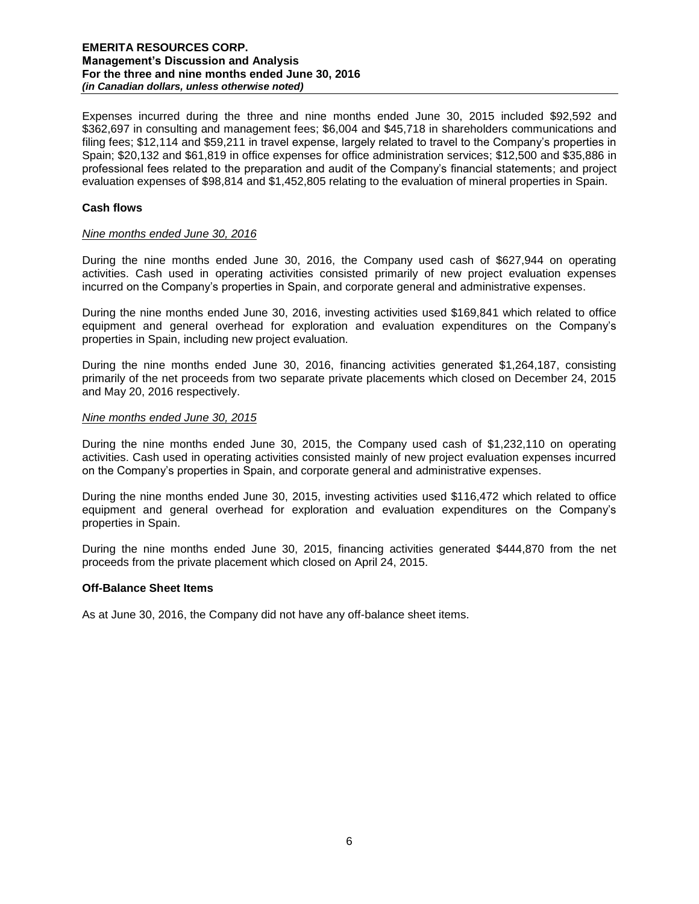Expenses incurred during the three and nine months ended June 30, 2015 included \$92,592 and \$362,697 in consulting and management fees; \$6,004 and \$45,718 in shareholders communications and filing fees; \$12,114 and \$59,211 in travel expense, largely related to travel to the Company's properties in Spain; \$20,132 and \$61,819 in office expenses for office administration services; \$12,500 and \$35,886 in professional fees related to the preparation and audit of the Company's financial statements; and project evaluation expenses of \$98,814 and \$1,452,805 relating to the evaluation of mineral properties in Spain.

## **Cash flows**

#### *Nine months ended June 30, 2016*

During the nine months ended June 30, 2016, the Company used cash of \$627,944 on operating activities. Cash used in operating activities consisted primarily of new project evaluation expenses incurred on the Company's properties in Spain, and corporate general and administrative expenses.

During the nine months ended June 30, 2016, investing activities used \$169,841 which related to office equipment and general overhead for exploration and evaluation expenditures on the Company's properties in Spain, including new project evaluation.

During the nine months ended June 30, 2016, financing activities generated \$1,264,187, consisting primarily of the net proceeds from two separate private placements which closed on December 24, 2015 and May 20, 2016 respectively.

#### *Nine months ended June 30, 2015*

During the nine months ended June 30, 2015, the Company used cash of \$1,232,110 on operating activities. Cash used in operating activities consisted mainly of new project evaluation expenses incurred on the Company's properties in Spain, and corporate general and administrative expenses.

During the nine months ended June 30, 2015, investing activities used \$116,472 which related to office equipment and general overhead for exploration and evaluation expenditures on the Company's properties in Spain.

During the nine months ended June 30, 2015, financing activities generated \$444,870 from the net proceeds from the private placement which closed on April 24, 2015.

#### **Off-Balance Sheet Items**

As at June 30, 2016, the Company did not have any off-balance sheet items.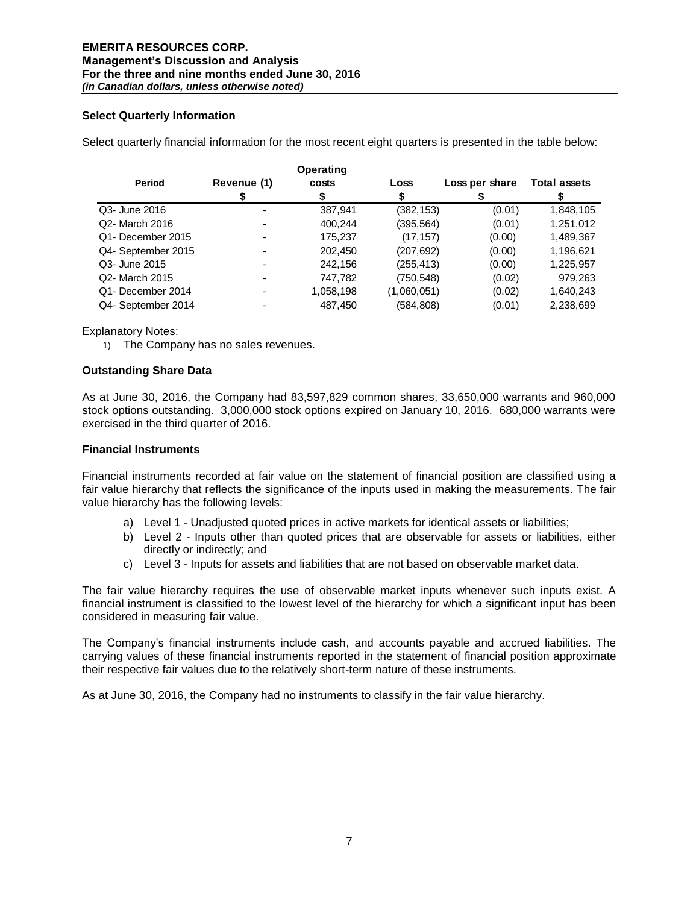## **Select Quarterly Information**

Select quarterly financial information for the most recent eight quarters is presented in the table below:

|                    |             | Operating |             |                |                     |
|--------------------|-------------|-----------|-------------|----------------|---------------------|
| Period             | Revenue (1) | costs     | Loss        | Loss per share | <b>Total assets</b> |
|                    |             |           |             |                |                     |
| Q3- June 2016      |             | 387,941   | (382, 153)  | (0.01)         | 1,848,105           |
| Q2- March 2016     |             | 400,244   | (395, 564)  | (0.01)         | 1,251,012           |
| Q1- December 2015  |             | 175,237   | (17, 157)   | (0.00)         | 1,489,367           |
| Q4- September 2015 |             | 202,450   | (207, 692)  | (0.00)         | 1,196,621           |
| Q3- June 2015      |             | 242,156   | (255, 413)  | (0.00)         | 1,225,957           |
| Q2- March 2015     |             | 747,782   | (750, 548)  | (0.02)         | 979,263             |
| Q1- December 2014  |             | 1,058,198 | (1,060,051) | (0.02)         | 1,640,243           |
| Q4- September 2014 |             | 487.450   | (584,808)   | (0.01)         | 2,238,699           |

Explanatory Notes:

1) The Company has no sales revenues.

## **Outstanding Share Data**

As at June 30, 2016, the Company had 83,597,829 common shares, 33,650,000 warrants and 960,000 stock options outstanding. 3,000,000 stock options expired on January 10, 2016. 680,000 warrants were exercised in the third quarter of 2016.

#### **Financial Instruments**

Financial instruments recorded at fair value on the statement of financial position are classified using a fair value hierarchy that reflects the significance of the inputs used in making the measurements. The fair value hierarchy has the following levels:

- a) Level 1 Unadjusted quoted prices in active markets for identical assets or liabilities;
- b) Level 2 Inputs other than quoted prices that are observable for assets or liabilities, either directly or indirectly; and
- c) Level 3 Inputs for assets and liabilities that are not based on observable market data.

The fair value hierarchy requires the use of observable market inputs whenever such inputs exist. A financial instrument is classified to the lowest level of the hierarchy for which a significant input has been considered in measuring fair value.

The Company's financial instruments include cash, and accounts payable and accrued liabilities. The carrying values of these financial instruments reported in the statement of financial position approximate their respective fair values due to the relatively short-term nature of these instruments.

As at June 30, 2016, the Company had no instruments to classify in the fair value hierarchy.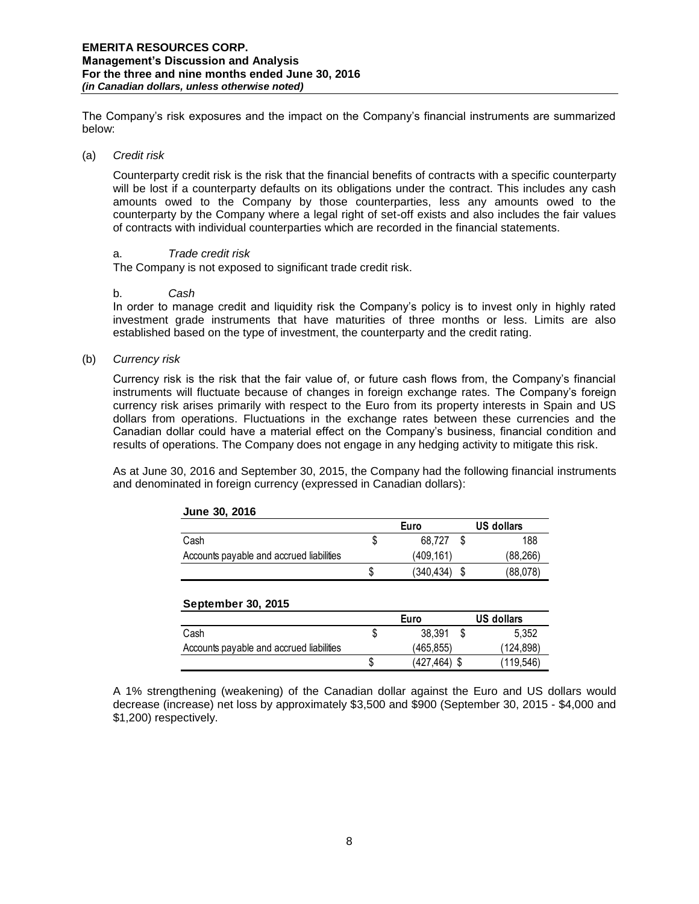The Company's risk exposures and the impact on the Company's financial instruments are summarized below:

#### (a) *Credit risk*

Counterparty credit risk is the risk that the financial benefits of contracts with a specific counterparty will be lost if a counterparty defaults on its obligations under the contract. This includes any cash amounts owed to the Company by those counterparties, less any amounts owed to the counterparty by the Company where a legal right of set-off exists and also includes the fair values of contracts with individual counterparties which are recorded in the financial statements.

#### a. *Trade credit risk*

The Company is not exposed to significant trade credit risk.

#### b. *Cash*

In order to manage credit and liquidity risk the Company's policy is to invest only in highly rated investment grade instruments that have maturities of three months or less. Limits are also established based on the type of investment, the counterparty and the credit rating.

(b) *Currency risk* 

Currency risk is the risk that the fair value of, or future cash flows from, the Company's financial instruments will fluctuate because of changes in foreign exchange rates. The Company's foreign currency risk arises primarily with respect to the Euro from its property interests in Spain and US dollars from operations. Fluctuations in the exchange rates between these currencies and the Canadian dollar could have a material effect on the Company's business, financial condition and results of operations. The Company does not engage in any hedging activity to mitigate this risk.

As at June 30, 2016 and September 30, 2015, the Company had the following financial instruments and denominated in foreign currency (expressed in Canadian dollars):

| $V^{\text{H}}$                           |      |            |            |           |
|------------------------------------------|------|------------|------------|-----------|
|                                          | Euro |            | US dollars |           |
| Cash                                     |      | 68.727     |            | 188       |
| Accounts payable and accrued liabilities |      | (409.161)  |            | (88, 266) |
|                                          |      | (340, 434) |            | (88,078)  |

# **September 30, 2015**

|                                          | Euro |                 | US dollars |  |
|------------------------------------------|------|-----------------|------------|--|
| Cash                                     | J.   | 38.391          | 5.352<br>S |  |
| Accounts payable and accrued liabilities |      | (465.855)       | (124,898)  |  |
|                                          |      | $(427, 464)$ \$ | (119.546)  |  |

A 1% strengthening (weakening) of the Canadian dollar against the Euro and US dollars would decrease (increase) net loss by approximately \$3,500 and \$900 (September 30, 2015 - \$4,000 and \$1,200) respectively.

# **June 30, 2016**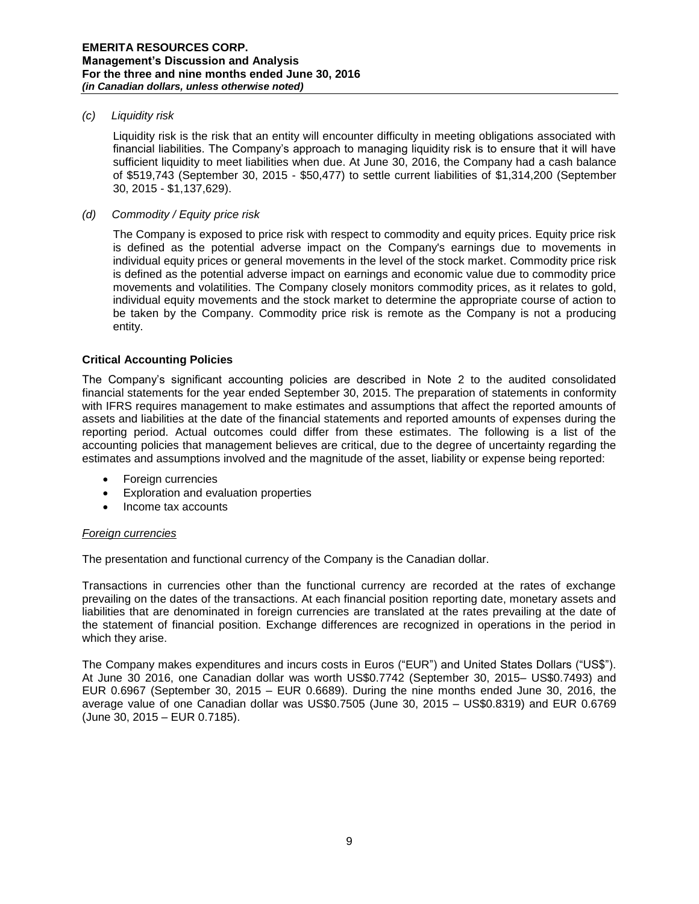#### *(c) Liquidity risk*

Liquidity risk is the risk that an entity will encounter difficulty in meeting obligations associated with financial liabilities. The Company's approach to managing liquidity risk is to ensure that it will have sufficient liquidity to meet liabilities when due. At June 30, 2016, the Company had a cash balance of \$519,743 (September 30, 2015 - \$50,477) to settle current liabilities of \$1,314,200 (September 30, 2015 - \$1,137,629).

#### *(d) Commodity / Equity price risk*

The Company is exposed to price risk with respect to commodity and equity prices. Equity price risk is defined as the potential adverse impact on the Company's earnings due to movements in individual equity prices or general movements in the level of the stock market. Commodity price risk is defined as the potential adverse impact on earnings and economic value due to commodity price movements and volatilities. The Company closely monitors commodity prices, as it relates to gold, individual equity movements and the stock market to determine the appropriate course of action to be taken by the Company. Commodity price risk is remote as the Company is not a producing entity.

#### **Critical Accounting Policies**

The Company's significant accounting policies are described in Note 2 to the audited consolidated financial statements for the year ended September 30, 2015. The preparation of statements in conformity with IFRS requires management to make estimates and assumptions that affect the reported amounts of assets and liabilities at the date of the financial statements and reported amounts of expenses during the reporting period. Actual outcomes could differ from these estimates. The following is a list of the accounting policies that management believes are critical, due to the degree of uncertainty regarding the estimates and assumptions involved and the magnitude of the asset, liability or expense being reported:

- Foreign currencies
- Exploration and evaluation properties
- Income tax accounts

## *Foreign currencies*

The presentation and functional currency of the Company is the Canadian dollar.

Transactions in currencies other than the functional currency are recorded at the rates of exchange prevailing on the dates of the transactions. At each financial position reporting date, monetary assets and liabilities that are denominated in foreign currencies are translated at the rates prevailing at the date of the statement of financial position. Exchange differences are recognized in operations in the period in which they arise.

The Company makes expenditures and incurs costs in Euros ("EUR") and United States Dollars ("US\$"). At June 30 2016, one Canadian dollar was worth US\$0.7742 (September 30, 2015– US\$0.7493) and EUR 0.6967 (September 30, 2015 – EUR 0.6689). During the nine months ended June 30, 2016, the average value of one Canadian dollar was US\$0.7505 (June 30, 2015 – US\$0.8319) and EUR 0.6769 (June 30, 2015 – EUR 0.7185).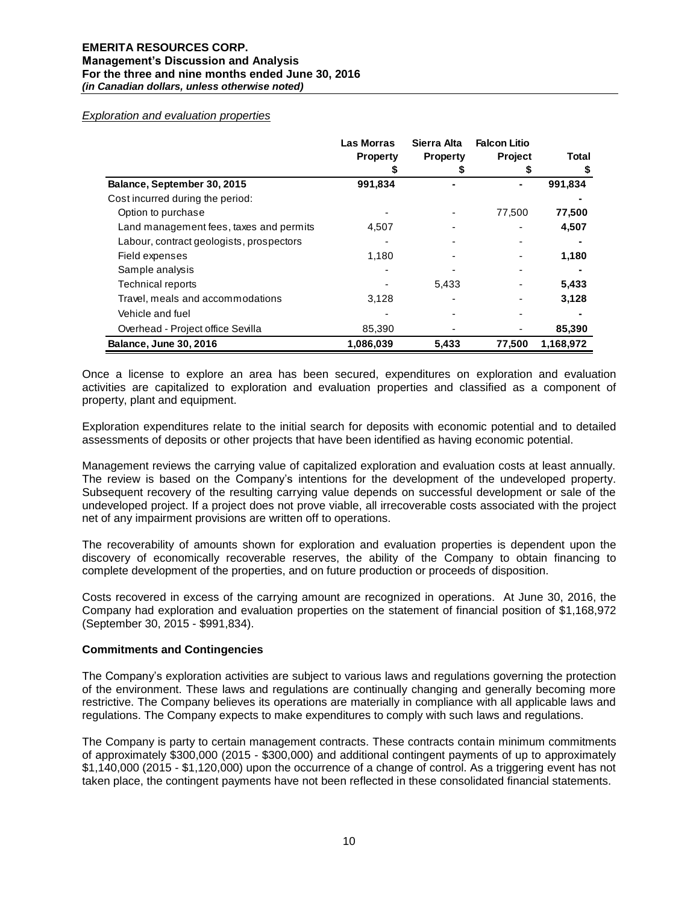#### *Exploration and evaluation properties*

|                                          | Las Morras      | Sierra Alta     | <b>Falcon Litio</b> |              |
|------------------------------------------|-----------------|-----------------|---------------------|--------------|
|                                          | <b>Property</b> | <b>Property</b> | <b>Project</b>      | <b>Total</b> |
|                                          |                 |                 |                     | \$           |
| Balance, September 30, 2015              | 991,834         |                 |                     | 991,834      |
| Cost incurred during the period:         |                 |                 |                     |              |
| Option to purchase                       |                 |                 | 77,500              | 77,500       |
| Land management fees, taxes and permits  | 4,507           |                 |                     | 4,507        |
| Labour, contract geologists, prospectors |                 |                 |                     |              |
| Field expenses                           | 1,180           |                 |                     | 1,180        |
| Sample analysis                          |                 |                 |                     |              |
| <b>Technical reports</b>                 |                 | 5,433           |                     | 5,433        |
| Travel, meals and accommodations         | 3,128           |                 |                     | 3,128        |
| Vehicle and fuel                         |                 |                 |                     |              |
| Overhead - Project office Sevilla        | 85,390          |                 |                     | 85,390       |
| <b>Balance, June 30, 2016</b>            | 1,086,039       | 5,433           | 77,500              | 1,168,972    |

Once a license to explore an area has been secured, expenditures on exploration and evaluation activities are capitalized to exploration and evaluation properties and classified as a component of property, plant and equipment.

Exploration expenditures relate to the initial search for deposits with economic potential and to detailed assessments of deposits or other projects that have been identified as having economic potential.

Management reviews the carrying value of capitalized exploration and evaluation costs at least annually. The review is based on the Company's intentions for the development of the undeveloped property. Subsequent recovery of the resulting carrying value depends on successful development or sale of the undeveloped project. If a project does not prove viable, all irrecoverable costs associated with the project net of any impairment provisions are written off to operations.

The recoverability of amounts shown for exploration and evaluation properties is dependent upon the discovery of economically recoverable reserves, the ability of the Company to obtain financing to complete development of the properties, and on future production or proceeds of disposition.

Costs recovered in excess of the carrying amount are recognized in operations. At June 30, 2016, the Company had exploration and evaluation properties on the statement of financial position of \$1,168,972 (September 30, 2015 - \$991,834).

#### **Commitments and Contingencies**

The Company's exploration activities are subject to various laws and regulations governing the protection of the environment. These laws and regulations are continually changing and generally becoming more restrictive. The Company believes its operations are materially in compliance with all applicable laws and regulations. The Company expects to make expenditures to comply with such laws and regulations.

The Company is party to certain management contracts. These contracts contain minimum commitments of approximately \$300,000 (2015 - \$300,000) and additional contingent payments of up to approximately \$1,140,000 (2015 - \$1,120,000) upon the occurrence of a change of control. As a triggering event has not taken place, the contingent payments have not been reflected in these consolidated financial statements.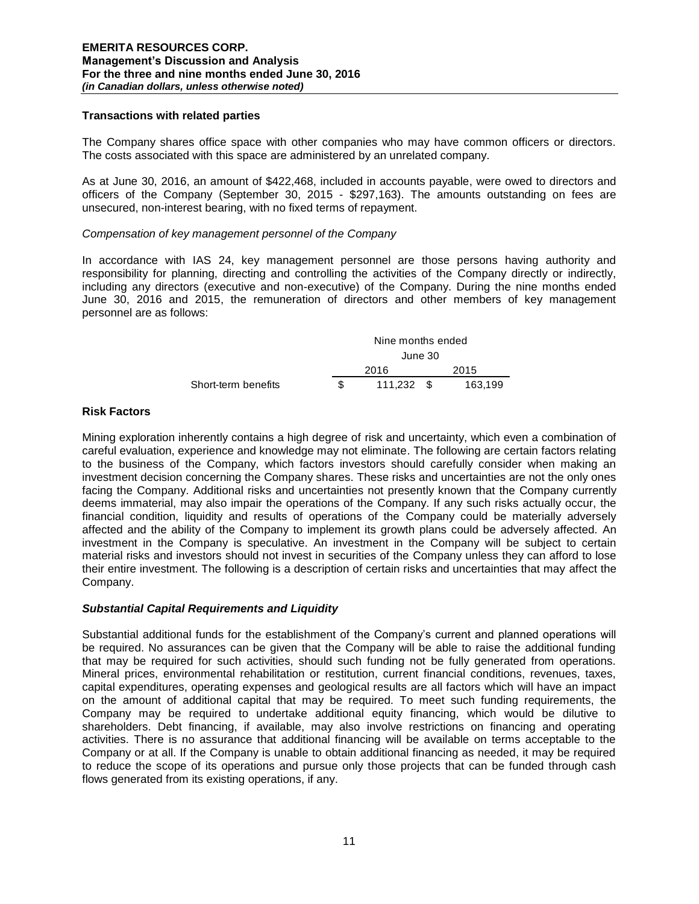#### **Transactions with related parties**

The Company shares office space with other companies who may have common officers or directors. The costs associated with this space are administered by an unrelated company.

As at June 30, 2016, an amount of \$422,468, included in accounts payable, were owed to directors and officers of the Company (September 30, 2015 - \$297,163). The amounts outstanding on fees are unsecured, non-interest bearing, with no fixed terms of repayment.

#### *Compensation of key management personnel of the Company*

In accordance with IAS 24, key management personnel are those persons having authority and responsibility for planning, directing and controlling the activities of the Company directly or indirectly, including any directors (executive and non-executive) of the Company. During the nine months ended June 30, 2016 and 2015, the remuneration of directors and other members of key management personnel are as follows:

|                     |  | Nine months ended<br>June 30 |  |         |  |
|---------------------|--|------------------------------|--|---------|--|
|                     |  |                              |  |         |  |
|                     |  | 2016                         |  | 2015    |  |
| Short-term benefits |  | 111.232 \$                   |  | 163.199 |  |

## **Risk Factors**

Mining exploration inherently contains a high degree of risk and uncertainty, which even a combination of careful evaluation, experience and knowledge may not eliminate. The following are certain factors relating to the business of the Company, which factors investors should carefully consider when making an investment decision concerning the Company shares. These risks and uncertainties are not the only ones facing the Company. Additional risks and uncertainties not presently known that the Company currently deems immaterial, may also impair the operations of the Company. If any such risks actually occur, the financial condition, liquidity and results of operations of the Company could be materially adversely affected and the ability of the Company to implement its growth plans could be adversely affected. An investment in the Company is speculative. An investment in the Company will be subject to certain material risks and investors should not invest in securities of the Company unless they can afford to lose their entire investment. The following is a description of certain risks and uncertainties that may affect the Company.

## *Substantial Capital Requirements and Liquidity*

Substantial additional funds for the establishment of the Company's current and planned operations will be required. No assurances can be given that the Company will be able to raise the additional funding that may be required for such activities, should such funding not be fully generated from operations. Mineral prices, environmental rehabilitation or restitution, current financial conditions, revenues, taxes, capital expenditures, operating expenses and geological results are all factors which will have an impact on the amount of additional capital that may be required. To meet such funding requirements, the Company may be required to undertake additional equity financing, which would be dilutive to shareholders. Debt financing, if available, may also involve restrictions on financing and operating activities. There is no assurance that additional financing will be available on terms acceptable to the Company or at all. If the Company is unable to obtain additional financing as needed, it may be required to reduce the scope of its operations and pursue only those projects that can be funded through cash flows generated from its existing operations, if any.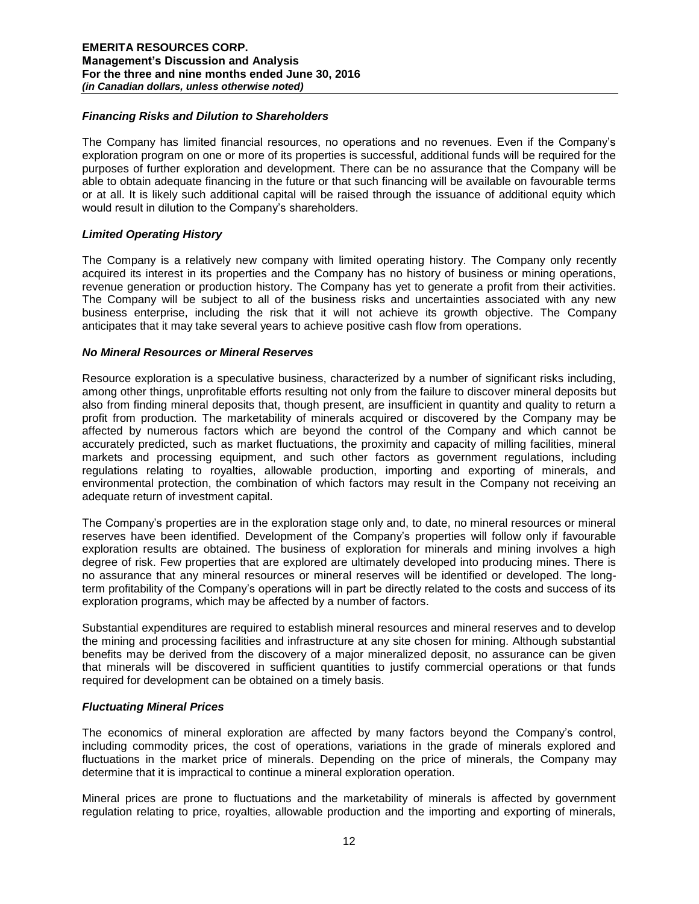#### *Financing Risks and Dilution to Shareholders*

The Company has limited financial resources, no operations and no revenues. Even if the Company's exploration program on one or more of its properties is successful, additional funds will be required for the purposes of further exploration and development. There can be no assurance that the Company will be able to obtain adequate financing in the future or that such financing will be available on favourable terms or at all. It is likely such additional capital will be raised through the issuance of additional equity which would result in dilution to the Company's shareholders.

#### *Limited Operating History*

The Company is a relatively new company with limited operating history. The Company only recently acquired its interest in its properties and the Company has no history of business or mining operations, revenue generation or production history. The Company has yet to generate a profit from their activities. The Company will be subject to all of the business risks and uncertainties associated with any new business enterprise, including the risk that it will not achieve its growth objective. The Company anticipates that it may take several years to achieve positive cash flow from operations.

#### *No Mineral Resources or Mineral Reserves*

Resource exploration is a speculative business, characterized by a number of significant risks including, among other things, unprofitable efforts resulting not only from the failure to discover mineral deposits but also from finding mineral deposits that, though present, are insufficient in quantity and quality to return a profit from production. The marketability of minerals acquired or discovered by the Company may be affected by numerous factors which are beyond the control of the Company and which cannot be accurately predicted, such as market fluctuations, the proximity and capacity of milling facilities, mineral markets and processing equipment, and such other factors as government regulations, including regulations relating to royalties, allowable production, importing and exporting of minerals, and environmental protection, the combination of which factors may result in the Company not receiving an adequate return of investment capital.

The Company's properties are in the exploration stage only and, to date, no mineral resources or mineral reserves have been identified. Development of the Company's properties will follow only if favourable exploration results are obtained. The business of exploration for minerals and mining involves a high degree of risk. Few properties that are explored are ultimately developed into producing mines. There is no assurance that any mineral resources or mineral reserves will be identified or developed. The longterm profitability of the Company's operations will in part be directly related to the costs and success of its exploration programs, which may be affected by a number of factors.

Substantial expenditures are required to establish mineral resources and mineral reserves and to develop the mining and processing facilities and infrastructure at any site chosen for mining. Although substantial benefits may be derived from the discovery of a major mineralized deposit, no assurance can be given that minerals will be discovered in sufficient quantities to justify commercial operations or that funds required for development can be obtained on a timely basis.

## *Fluctuating Mineral Prices*

The economics of mineral exploration are affected by many factors beyond the Company's control, including commodity prices, the cost of operations, variations in the grade of minerals explored and fluctuations in the market price of minerals. Depending on the price of minerals, the Company may determine that it is impractical to continue a mineral exploration operation.

Mineral prices are prone to fluctuations and the marketability of minerals is affected by government regulation relating to price, royalties, allowable production and the importing and exporting of minerals,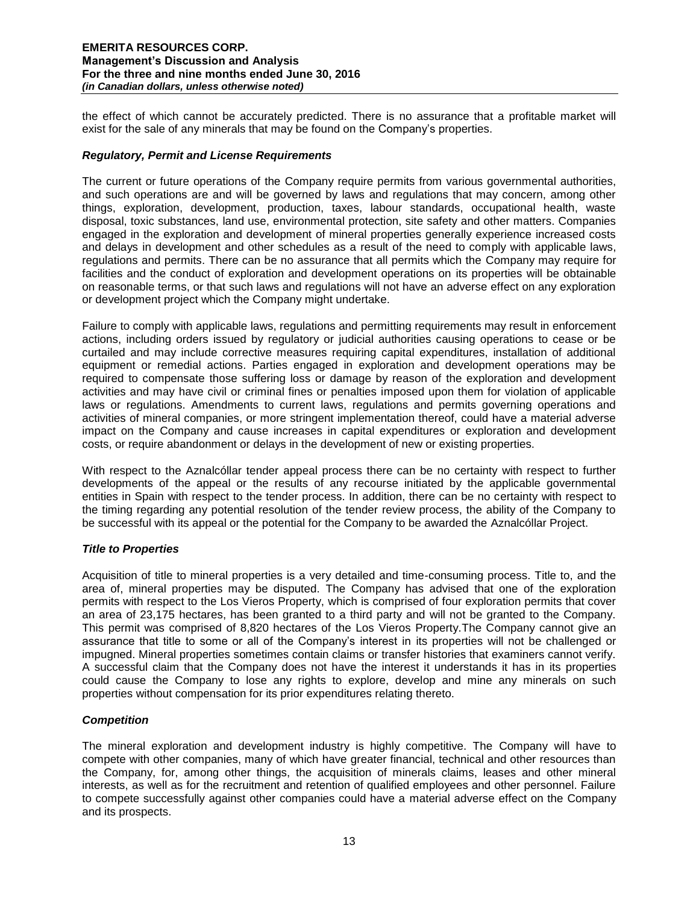the effect of which cannot be accurately predicted. There is no assurance that a profitable market will exist for the sale of any minerals that may be found on the Company's properties.

## *Regulatory, Permit and License Requirements*

The current or future operations of the Company require permits from various governmental authorities, and such operations are and will be governed by laws and regulations that may concern, among other things, exploration, development, production, taxes, labour standards, occupational health, waste disposal, toxic substances, land use, environmental protection, site safety and other matters. Companies engaged in the exploration and development of mineral properties generally experience increased costs and delays in development and other schedules as a result of the need to comply with applicable laws, regulations and permits. There can be no assurance that all permits which the Company may require for facilities and the conduct of exploration and development operations on its properties will be obtainable on reasonable terms, or that such laws and regulations will not have an adverse effect on any exploration or development project which the Company might undertake.

Failure to comply with applicable laws, regulations and permitting requirements may result in enforcement actions, including orders issued by regulatory or judicial authorities causing operations to cease or be curtailed and may include corrective measures requiring capital expenditures, installation of additional equipment or remedial actions. Parties engaged in exploration and development operations may be required to compensate those suffering loss or damage by reason of the exploration and development activities and may have civil or criminal fines or penalties imposed upon them for violation of applicable laws or regulations. Amendments to current laws, regulations and permits governing operations and activities of mineral companies, or more stringent implementation thereof, could have a material adverse impact on the Company and cause increases in capital expenditures or exploration and development costs, or require abandonment or delays in the development of new or existing properties.

With respect to the Aznalcóllar tender appeal process there can be no certainty with respect to further developments of the appeal or the results of any recourse initiated by the applicable governmental entities in Spain with respect to the tender process. In addition, there can be no certainty with respect to the timing regarding any potential resolution of the tender review process, the ability of the Company to be successful with its appeal or the potential for the Company to be awarded the Aznalcóllar Project.

## *Title to Properties*

Acquisition of title to mineral properties is a very detailed and time-consuming process. Title to, and the area of, mineral properties may be disputed. The Company has advised that one of the exploration permits with respect to the Los Vieros Property, which is comprised of four exploration permits that cover an area of 23,175 hectares, has been granted to a third party and will not be granted to the Company. This permit was comprised of 8,820 hectares of the Los Vieros Property.The Company cannot give an assurance that title to some or all of the Company's interest in its properties will not be challenged or impugned. Mineral properties sometimes contain claims or transfer histories that examiners cannot verify. A successful claim that the Company does not have the interest it understands it has in its properties could cause the Company to lose any rights to explore, develop and mine any minerals on such properties without compensation for its prior expenditures relating thereto.

## *Competition*

The mineral exploration and development industry is highly competitive. The Company will have to compete with other companies, many of which have greater financial, technical and other resources than the Company, for, among other things, the acquisition of minerals claims, leases and other mineral interests, as well as for the recruitment and retention of qualified employees and other personnel. Failure to compete successfully against other companies could have a material adverse effect on the Company and its prospects.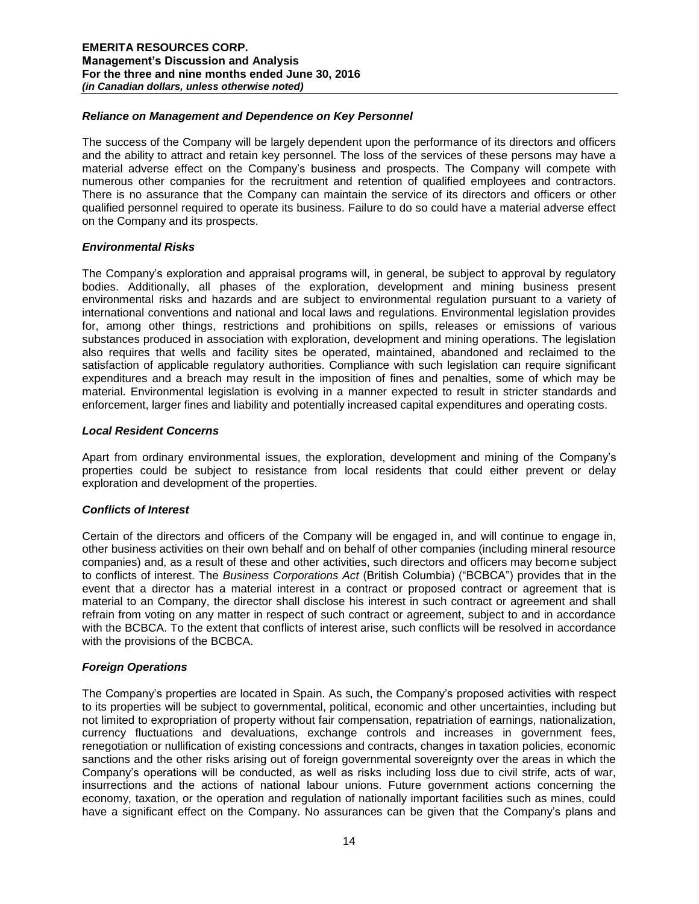## *Reliance on Management and Dependence on Key Personnel*

The success of the Company will be largely dependent upon the performance of its directors and officers and the ability to attract and retain key personnel. The loss of the services of these persons may have a material adverse effect on the Company's business and prospects. The Company will compete with numerous other companies for the recruitment and retention of qualified employees and contractors. There is no assurance that the Company can maintain the service of its directors and officers or other qualified personnel required to operate its business. Failure to do so could have a material adverse effect on the Company and its prospects.

## *Environmental Risks*

The Company's exploration and appraisal programs will, in general, be subject to approval by regulatory bodies. Additionally, all phases of the exploration, development and mining business present environmental risks and hazards and are subject to environmental regulation pursuant to a variety of international conventions and national and local laws and regulations. Environmental legislation provides for, among other things, restrictions and prohibitions on spills, releases or emissions of various substances produced in association with exploration, development and mining operations. The legislation also requires that wells and facility sites be operated, maintained, abandoned and reclaimed to the satisfaction of applicable regulatory authorities. Compliance with such legislation can require significant expenditures and a breach may result in the imposition of fines and penalties, some of which may be material. Environmental legislation is evolving in a manner expected to result in stricter standards and enforcement, larger fines and liability and potentially increased capital expenditures and operating costs.

#### *Local Resident Concerns*

Apart from ordinary environmental issues, the exploration, development and mining of the Company's properties could be subject to resistance from local residents that could either prevent or delay exploration and development of the properties.

## *Conflicts of Interest*

Certain of the directors and officers of the Company will be engaged in, and will continue to engage in, other business activities on their own behalf and on behalf of other companies (including mineral resource companies) and, as a result of these and other activities, such directors and officers may become subject to conflicts of interest. The *Business Corporations Act* (British Columbia) ("BCBCA") provides that in the event that a director has a material interest in a contract or proposed contract or agreement that is material to an Company, the director shall disclose his interest in such contract or agreement and shall refrain from voting on any matter in respect of such contract or agreement, subject to and in accordance with the BCBCA. To the extent that conflicts of interest arise, such conflicts will be resolved in accordance with the provisions of the BCBCA.

## *Foreign Operations*

The Company's properties are located in Spain. As such, the Company's proposed activities with respect to its properties will be subject to governmental, political, economic and other uncertainties, including but not limited to expropriation of property without fair compensation, repatriation of earnings, nationalization, currency fluctuations and devaluations, exchange controls and increases in government fees, renegotiation or nullification of existing concessions and contracts, changes in taxation policies, economic sanctions and the other risks arising out of foreign governmental sovereignty over the areas in which the Company's operations will be conducted, as well as risks including loss due to civil strife, acts of war, insurrections and the actions of national labour unions. Future government actions concerning the economy, taxation, or the operation and regulation of nationally important facilities such as mines, could have a significant effect on the Company. No assurances can be given that the Company's plans and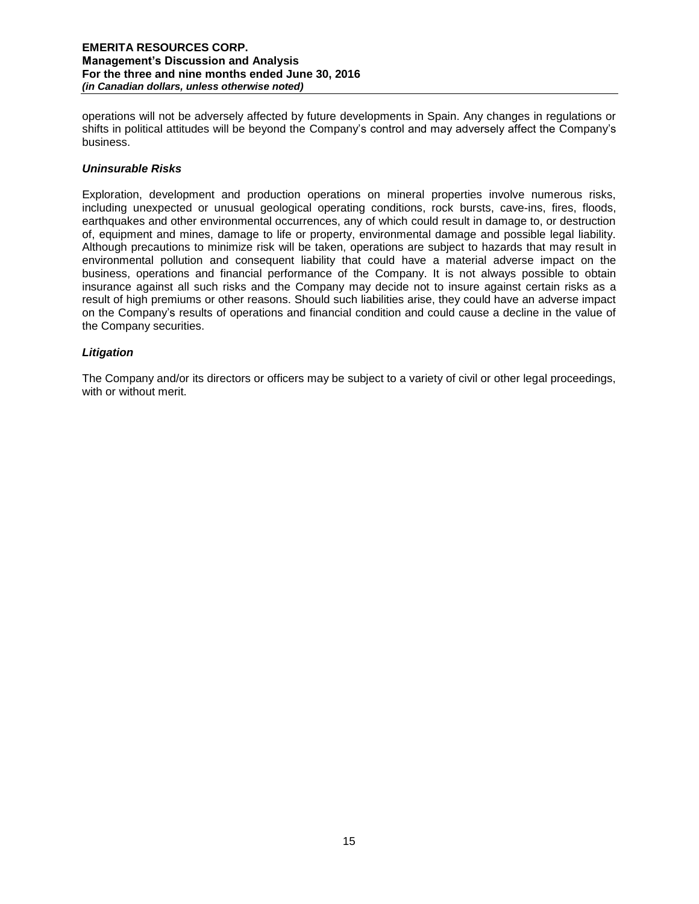operations will not be adversely affected by future developments in Spain. Any changes in regulations or shifts in political attitudes will be beyond the Company's control and may adversely affect the Company's business.

## *Uninsurable Risks*

Exploration, development and production operations on mineral properties involve numerous risks, including unexpected or unusual geological operating conditions, rock bursts, cave-ins, fires, floods, earthquakes and other environmental occurrences, any of which could result in damage to, or destruction of, equipment and mines, damage to life or property, environmental damage and possible legal liability. Although precautions to minimize risk will be taken, operations are subject to hazards that may result in environmental pollution and consequent liability that could have a material adverse impact on the business, operations and financial performance of the Company. It is not always possible to obtain insurance against all such risks and the Company may decide not to insure against certain risks as a result of high premiums or other reasons. Should such liabilities arise, they could have an adverse impact on the Company's results of operations and financial condition and could cause a decline in the value of the Company securities.

# *Litigation*

The Company and/or its directors or officers may be subject to a variety of civil or other legal proceedings, with or without merit.